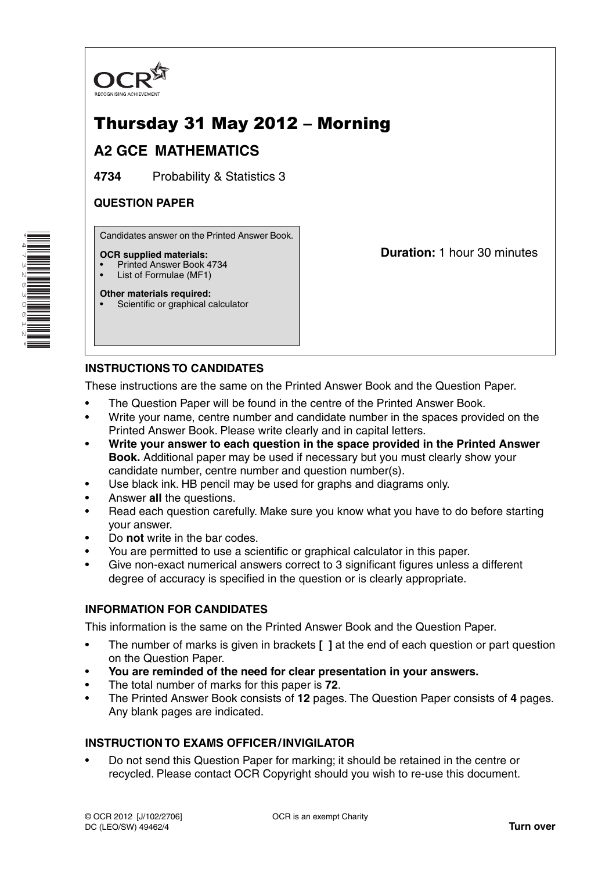

# Thursday 31 May 2012 – Morning

# **A2 GCE MATHEMATICS**

**4734** Probability & Statistics 3

## **QUESTION PAPER**

Candidates answer on the Printed Answer Book.

#### **OCR supplied materials:**

- Printed Answer Book 4734
- List of Formulae (MF1)

**Other materials required:** Scientific or graphical calculator **Duration:** 1 hour 30 minutes

# **INSTRUCTIONS TO CANDIDATES**

These instructions are the same on the Printed Answer Book and the Question Paper.

- The Question Paper will be found in the centre of the Printed Answer Book.
- Write your name, centre number and candidate number in the spaces provided on the Printed Answer Book. Please write clearly and in capital letters.
- **Write your answer to each question in the space provided in the Printed Answer Book.** Additional paper may be used if necessary but you must clearly show your candidate number, centre number and question number(s).
- Use black ink. HB pencil may be used for graphs and diagrams only.
- Answer **all** the questions.
- Read each question carefully. Make sure you know what you have to do before starting your answer.
- Do **not** write in the bar codes.
- You are permitted to use a scientific or graphical calculator in this paper.
- Give non-exact numerical answers correct to 3 significant figures unless a different degree of accuracy is specified in the question or is clearly appropriate.

### **INFORMATION FOR CANDIDATES**

This information is the same on the Printed Answer Book and the Question Paper.

- The number of marks is given in brackets **[ ]** at the end of each question or part question on the Question Paper.
- **You are reminded of the need for clear presentation in your answers.**
- The total number of marks for this paper is **72**.
- The Printed Answer Book consists of **12** pages. The Question Paper consists of **4** pages. Any blank pages are indicated.

### **INSTRUCTION TO EXAMS OFFICER / INVIGILATOR**

• Do not send this Question Paper for marking; it should be retained in the centre or recycled. Please contact OCR Copyright should you wish to re-use this document.

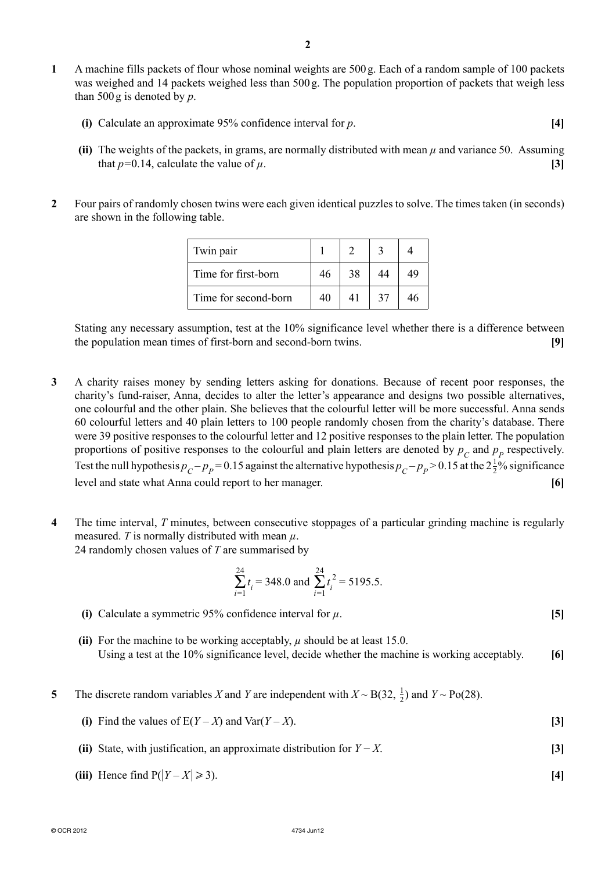- **1** A machine fills packets of flour whose nominal weights are 500 g. Each of a random sample of 100 packets was weighed and 14 packets weighed less than 500 g. The population proportion of packets that weigh less than 500 g is denoted by *p*.
	- **(i)** Calculate an approximate 95% confidence interval for *p*. **[4]**
	- **(ii)** The weights of the packets, in grams, are normally distributed with mean *μ* and variance 50. Assuming that  $p=0.14$ , calculate the value of  $\mu$ . **[3]**
- **2** Four pairs of randomly chosen twins were each given identical puzzles to solve. The times taken (in seconds) are shown in the following table.

| Twin pair            |    |    |    |    |
|----------------------|----|----|----|----|
| Time for first-born  | 46 | 38 |    | 49 |
| Time for second-born | 40 |    | 37 |    |

Stating any necessary assumption, test at the 10% significance level whether there is a difference between the population mean times of first-born and second-born twins. **[9]**

- **3** A charity raises money by sending letters asking for donations. Because of recent poor responses, the charity's fund-raiser, Anna, decides to alter the letter's appearance and designs two possible alternatives, one colourful and the other plain. She believes that the colourful letter will be more successful. Anna sends 60 colourful letters and 40 plain letters to 100 people randomly chosen from the charity's database. There were 39 positive responses to the colourful letter and 12 positive responses to the plain letter. The population proportions of positive responses to the colourful and plain letters are denoted by  $p_c$  and  $p_p$  respectively. Test the null hypothesis  $p_C - p_P = 0.15$  against the alternative hypothesis  $p_C - p_P > 0.15$  at the  $2\frac{1}{2}\%$  significance level and state what Anna could report to her manager. **[6]**
- **4** The time interval, *T* minutes, between consecutive stoppages of a particular grinding machine is regularly measured. *T* is normally distributed with mean  $\mu$ . 24 randomly chosen values of *T* are summarised by

$$
\sum_{i=1}^{24} t_i = 348.0 \text{ and } \sum_{i=1}^{24} t_i^2 = 5195.5.
$$

- **(i)** Calculate a symmetric 95% confidence interval for *μ*. **[5]**
- **(ii)** For the machine to be working acceptably, *μ* should be at least 15.0. Using a test at the 10% significance level, decide whether the machine is working acceptably. **[6]**
- **5** The discrete random variables *X* and *Y* are independent with  $X \sim B(32, \frac{1}{2})$  and  $Y \sim Po(28)$ .
	- **(i)** Find the values of  $E(Y X)$  and  $Var(Y X)$ . **[3]**
	- **(ii)** State, with justification, an approximate distribution for *Y* − *X*. **[3]**
- **(iii)** Hence find  $P(|Y X|)$ 3). **[4]**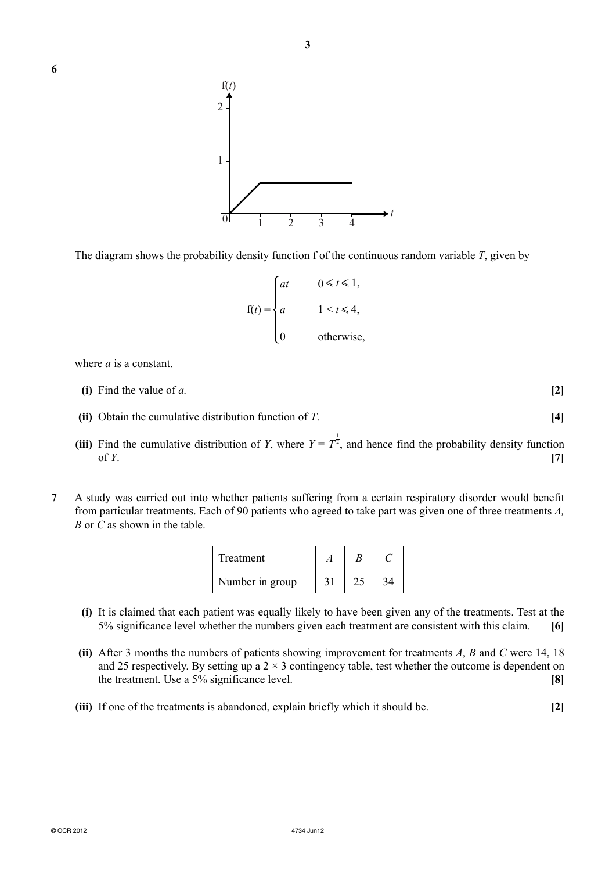

**3**

The diagram shows the probability density function f of the continuous random variable *T*, given by



where *a* is a constant.

- **(i)** Find the value of *a.* **[2]**
- **(ii)** Obtain the cumulative distribution function of *T*. **[4]**
- (iii) Find the cumulative distribution of *Y*, where  $Y = T^{\frac{1}{2}}$ , and hence find the probability density function of *Y*. **[7]**
- **7** A study was carried out into whether patients suffering from a certain respiratory disorder would benefit from particular treatments. Each of 90 patients who agreed to take part was given one of three treatments *A, B* or *C* as shown in the table.

| Treatment       |    |  |
|-----------------|----|--|
| Number in group | 31 |  |

- **(i)** It is claimed that each patient was equally likely to have been given any of the treatments. Test at the 5% significance level whether the numbers given each treatment are consistent with this claim. **[6]**
- **(ii)** After 3 months the numbers of patients showing improvement for treatments *A*, *B* and *C* were 14, 18 and 25 respectively. By setting up a  $2 \times 3$  contingency table, test whether the outcome is dependent on the treatment. Use a 5% significance level. **[8]**
- **(iii)** If one of the treatments is abandoned, explain briefly which it should be. **[2]**